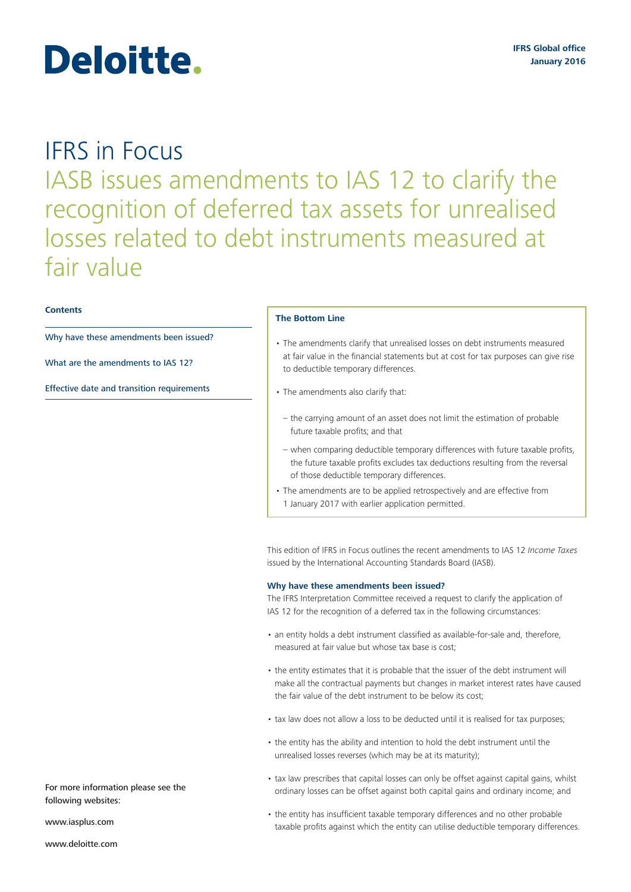# Deloitte.

# IFRS in Focus IASB issues amendments to IAS 12 to clarify the recognition of deferred tax assets for unrealised losses related to debt instruments measured at fair value

# **Contents**

Why have these amendments been issued?

What are the amendments to IAS 12?

Effective date and transition requirements

### **The Bottom Line**

- The amendments clarify that unrealised losses on debt instruments measured at fair value in the financial statements but at cost for tax purposes can give rise to deductible temporary differences.
- The amendments also clarify that:
- the carrying amount of an asset does not limit the estimation of probable future taxable profits; and that
- when comparing deductible temporary differences with future taxable profits, the future taxable profits excludes tax deductions resulting from the reversal of those deductible temporary differences.
- The amendments are to be applied retrospectively and are effective from 1 January 2017 with earlier application permitted.

This edition of IFRS in Focus outlines the recent amendments to IAS 12 *Income Taxes*  issued by the International Accounting Standards Board (IASB).

# **Why have these amendments been issued?**

The IFRS Interpretation Committee received a request to clarify the application of IAS 12 for the recognition of a deferred tax in the following circumstances:

- an entity holds a debt instrument classified as available-for-sale and, therefore, measured at fair value but whose tax base is cost;
- the entity estimates that it is probable that the issuer of the debt instrument will make all the contractual payments but changes in market interest rates have caused the fair value of the debt instrument to be below its cost;
- tax law does not allow a loss to be deducted until it is realised for tax purposes;
- the entity has the ability and intention to hold the debt instrument until the unrealised losses reverses (which may be at its maturity);
- tax law prescribes that capital losses can only be offset against capital gains, whilst ordinary losses can be offset against both capital gains and ordinary income; and
- the entity has insufficient taxable temporary differences and no other probable taxable profits against which the entity can utilise deductible temporary differences.

For more information please see the following websites:

<www.iasplus.com>

<www.deloitte.com>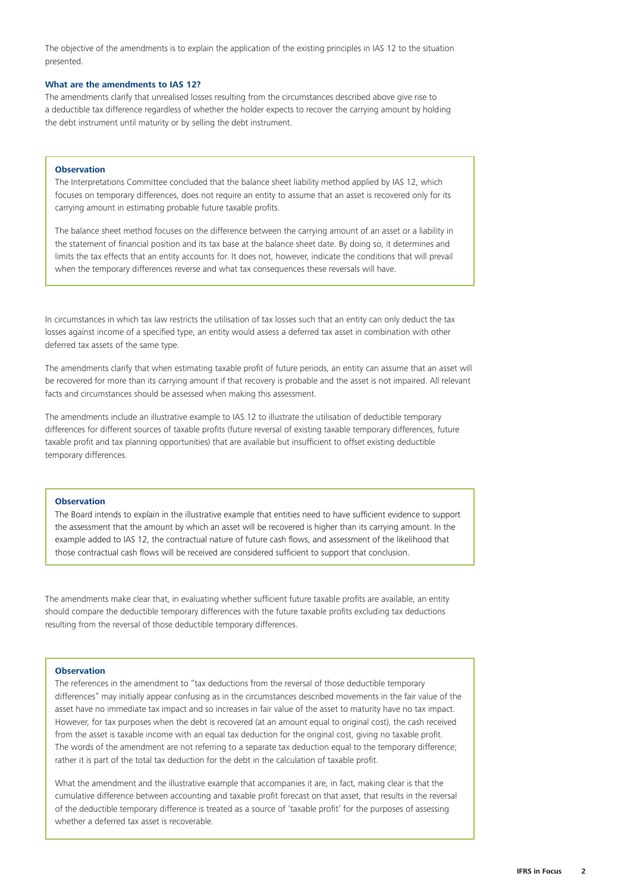The objective of the amendments is to explain the application of the existing principles in IAS 12 to the situation presented.

# **What are the amendments to IAS 12?**

The amendments clarify that unrealised losses resulting from the circumstances described above give rise to a deductible tax difference regardless of whether the holder expects to recover the carrying amount by holding the debt instrument until maturity or by selling the debt instrument.

# **Observation**

The Interpretations Committee concluded that the balance sheet liability method applied by IAS 12, which focuses on temporary differences, does not require an entity to assume that an asset is recovered only for its carrying amount in estimating probable future taxable profits.

The balance sheet method focuses on the difference between the carrying amount of an asset or a liability in the statement of financial position and its tax base at the balance sheet date. By doing so, it determines and limits the tax effects that an entity accounts for. It does not, however, indicate the conditions that will prevail when the temporary differences reverse and what tax consequences these reversals will have.

In circumstances in which tax law restricts the utilisation of tax losses such that an entity can only deduct the tax losses against income of a specified type, an entity would assess a deferred tax asset in combination with other deferred tax assets of the same type.

The amendments clarify that when estimating taxable profit of future periods, an entity can assume that an asset will be recovered for more than its carrying amount if that recovery is probable and the asset is not impaired. All relevant facts and circumstances should be assessed when making this assessment.

The amendments include an illustrative example to IAS 12 to illustrate the utilisation of deductible temporary differences for different sources of taxable profits (future reversal of existing taxable temporary differences, future taxable profit and tax planning opportunities) that are available but insufficient to offset existing deductible temporary differences.

# **Observation**

The Board intends to explain in the illustrative example that entities need to have sufficient evidence to support the assessment that the amount by which an asset will be recovered is higher than its carrying amount. In the example added to IAS 12, the contractual nature of future cash flows, and assessment of the likelihood that those contractual cash flows will be received are considered sufficient to support that conclusion.

The amendments make clear that, in evaluating whether sufficient future taxable profits are available, an entity should compare the deductible temporary differences with the future taxable profits excluding tax deductions resulting from the reversal of those deductible temporary differences.

# **Observation**

The references in the amendment to "tax deductions from the reversal of those deductible temporary differences" may initially appear confusing as in the circumstances described movements in the fair value of the asset have no immediate tax impact and so increases in fair value of the asset to maturity have no tax impact. However, for tax purposes when the debt is recovered (at an amount equal to original cost), the cash received from the asset is taxable income with an equal tax deduction for the original cost, giving no taxable profit. The words of the amendment are not referring to a separate tax deduction equal to the temporary difference; rather it is part of the total tax deduction for the debt in the calculation of taxable profit.

What the amendment and the illustrative example that accompanies it are, in fact, making clear is that the cumulative difference between accounting and taxable profit forecast on that asset, that results in the reversal of the deductible temporary difference is treated as a source of 'taxable profit' for the purposes of assessing whether a deferred tax asset is recoverable.